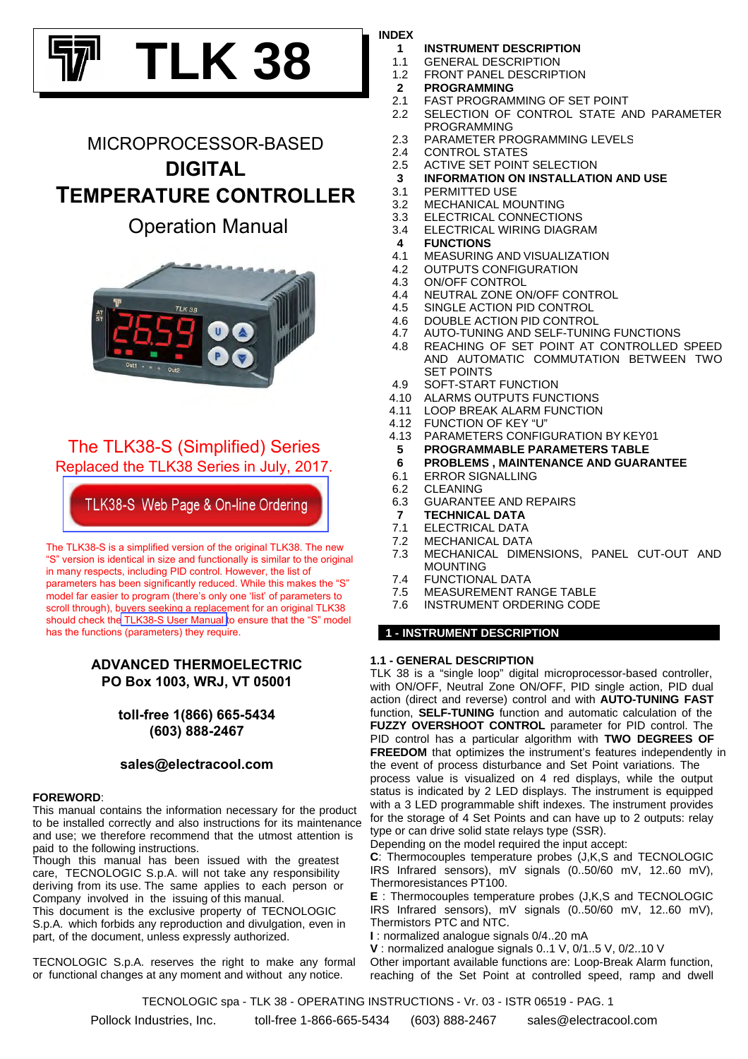# **TLK 38**

# MICROPROCESSOR-BASED **DIGITAL TEMPERATURE CONTROLLER**

## Operation Manual



The TLK38-S (Simplified) Series Replaced the TLK38 Series in July, 2017.

TLK38-S Web Page & On-line Ordering

The TLK38-S is a simplified version of the original TLK38. The new "S" version is identical in size and functionally is similar to the original in many respects, including PID control. However, the list of parameters has been significantly reduced. While this makes the "S" model far easier to program (there's only one 'list' of parameters to scroll through), buyers seeking a replacement for an original TLK38 should check th[e TLK38-S User Manual](https://www.electracool.com/TLK38S_Manual.pdf) to ensure that the "S" model has the functions (parameters) they require.

## **ADVANCED THERMOELECTRIC PO Box 1003, WRJ, VT 05001**

**toll-free 1(866) 665-5434 (603) 888-2467**

### **sales@electracool.com**

#### **FOREWORD**:

This manual contains the information necessary for the product to be installed correctly and also instructions for its maintenance and use; we therefore recommend that the utmost attention is paid to the following instructions.

Though this manual has been issued with the greatest care, TECNOLOGIC S.p.A. will not take any responsibility deriving from its use. The same applies to each person or Company involved in the issuing of this manual.

This document is the exclusive property of TECNOLOGIC S.p.A. which forbids any reproduction and divulgation, even in part, of the document, unless expressly authorized.

TECNOLOGIC S.p.A. reserves the right to make any formal or functional changes at any moment and without any notice.

#### **INDEX**

- **1 INSTRUMENT DESCRIPTION**
- 1.2 FRONT PANEL DESCRIPTION 1.1 GENERAL DESCRIPTION
- **2 PROGRAMMING**
- 2.1 FAST PROGRAMMING OF SET POINT
- SELECTION OF CONTROL STATE AND PARAMETER PROGRAMMING 2.2
- 2.3 PARAMETER PROGRAMMING LEVELS
- 2.4 CONTROL STATES
- 2.5 ACTIVE SET POINT SELECTION
- **3 INFORMATION ON INSTALLATION AND USE**
- 3.1 PERMITTED USE
- 3.2 MECHANICAL MOUNTING
- 3.4 ELECTRICAL WIRING DIAGRAM 3.3 ELECTRICAL CONNECTIONS
- **4 FUNCTIONS**
- 4.1 MEASURING AND VISUALIZATION
- 4.2 OUTPUTS CONFIGURATION
- 4.3 ON/OFF CONTROL
- 4.4 NEUTRAL ZONE ON/OFF CONTROL
- 4.5 SINGLE ACTION PID CONTROL
- 4.6 DOUBLE ACTION PID CONTROL
- 4.7 AUTO-TUNING AND SELF-TUNING FUNCTIONS
- REACHING OF SET POINT AT CONTROLLED SPEED AND AUTOMATIC COMMUTATION BETWEEN TWO SET POINTS 4.8
- 4.9 SOFT-START FUNCTION
- 4.10 ALARMS OUTPUTS FUNCTIONS
- 4.11 LOOP BREAK ALARM FUNCTION
- 4.12 FUNCTION OF KEY "U"
- 4.13 PARAMETERS CONFIGURATION BY KEY01
- **5 PROGRAMMABLE PARAMETERS TABLE**
- **6 PROBLEMS , MAINTENANCE AND GUARANTEE**
- 6.1 ERROR SIGNALLING
- 6.2 CLEANING
- 6.3 GUARANTEE AND REPAIRS
- **7 TECHNICAL DATA**
- 7.1 ELECTRICAL DATA
- 7.2 MECHANICAL DATA
- MECHANICAL DIMENSIONS, PANEL CUT-OUT AND MOUNTING 7.3
- 7.4 FUNCTIONAL DATA
- 7.5 MEASUREMENT RANGE TABLE
- 7.6 INSTRUMENT ORDERING CODE

#### **1 - INSTRUMENT DESCRIPTION**

#### **1.1 - GENERAL DESCRIPTION**

TLK 38 is a "single loop" digital microprocessor-based controller, with ON/OFF, Neutral Zone ON/OFF, PID single action, PID dual action (direct and reverse) control and with **AUTO-TUNING FAST** function, **SELF-TUNING** function and automatic calculation of the **FUZZY OVERSHOOT CONTROL** parameter for PID control. The PID control has a particular algorithm with **TWO DEGREES OF FREEDOM** that optimizes the instrument's features independently in the event of process disturbance and Set Point variations. The process value is visualized on 4 red displays, while the output status is indicated by 2 LED displays. The instrument is equipped with a 3 LED programmable shift indexes. The instrument provides for the storage of 4 Set Points and can have up to 2 outputs: relay type or can drive solid state relays type (SSR).

Depending on the model required the input accept:

**C**: Thermocouples temperature probes (J,K,S and TECNOLOGIC IRS Infrared sensors), mV signals (0..50/60 mV, 12..60 mV), Thermoresistances PT100.

**E** : Thermocouples temperature probes (J,K,S and TECNOLOGIC IRS Infrared sensors), mV signals (0..50/60 mV, 12..60 mV), Thermistors PTC and NTC.

**I** : normalized analogue signals 0/4..20 mA

**V** : normalized analogue signals 0..1 V, 0/1..5 V, 0/2..10 V Other important available functions are: Loop-Break Alarm function, reaching of the Set Point at controlled speed, ramp and dwell

TECNOLOGIC spa - TLK 38 - OPERATING INSTRUCTIONS - Vr. 03 - ISTR 06519 - PAG. 1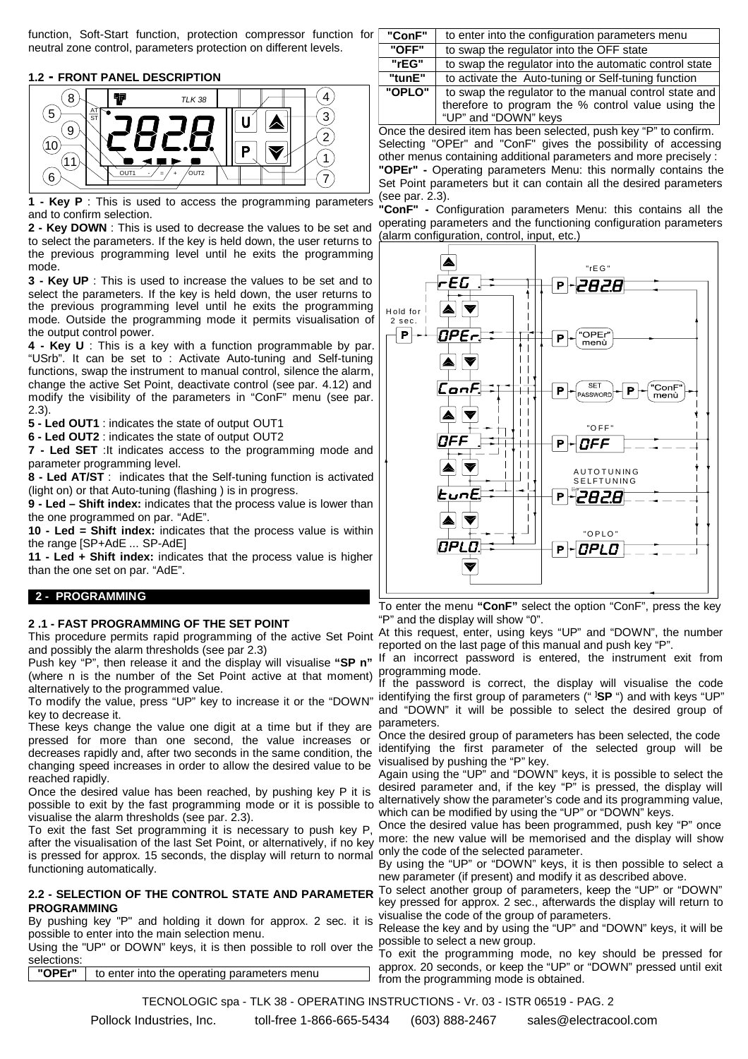function, Soft-Start function, protection compressor function for neutral zone control, parameters protection on different levels.

#### **1.2 - FRONT PANEL DESCRIPTION**



**1 - Key P** : This is used to access the programming parameters and to confirm selection.

**2 - Key DOWN** : This is used to decrease the values to be set and to select the parameters. If the key is held down, the user returns to the previous programming level until he exits the programming mode.

**3 - Key UP** : This is used to increase the values to be set and to select the parameters. If the key is held down, the user returns to the previous programming level until he exits the programming mode. Outside the programming mode it permits visualisation of the output control power.

**4 - Key U** : This is a key with a function programmable by par. "USrb". It can be set to : Activate Auto-tuning and Self-tuning functions, swap the instrument to manual control, silence the alarm, change the active Set Point, deactivate control (see par. 4.12) and modify the visibility of the parameters in "ConF" menu (see par. 2.3).

**5 - Led OUT1** : indicates the state of output OUT1

**6 - Led OUT2** : indicates the state of output OUT2

**7 - Led SET** :It indicates access to the programming mode and parameter programming level.

**8 - Led AT/ST** : indicates that the Self-tuning function is activated (light on) or that Auto-tuning (flashing ) is in progress.

**9 - Led – Shift index:** indicates that the process value is lower than the one programmed on par. "AdE".

**10 - Led = Shift index:** indicates that the process value is within the range [SP+AdE ... SP-AdE]

**11 - Led + Shift index:** indicates that the process value is higher than the one set on par. "AdE".

#### **2 - PROGRAMMING**

#### **2 .1 - FAST PROGRAMMING OF THE SET POINT**

This procedure permits rapid programming of the active Set Point and possibly the alarm thresholds (see par 2.3)

Push key "P", then release it and the display will visualise **"SP n"** (where n is the number of the Set Point active at that moment) programming mode. alternatively to the programmed value.

key to decrease it.

These keys change the value one digit at a time but if they are pressed for more than one second, the value increases or decreases rapidly and, after two seconds in the same condition, the identifying the first parameter of the selected group will be changing speed increases in order to allow the desired value to be reached rapidly.

Once the desired value has been reached, by pushing key P it is possible to exit by the fast programming mode or it is possible to visualise the alarm thresholds (see par. 2.3).

To exit the fast Set programming it is necessary to push key P, after the visualisation of the last Set Point, or alternatively, if no key more: the new value will be memorised and the display will show Interact the content of the method of the display will return to normal only the code of the selected parameter.<br>Is pressed for approx. 15 seconds, the display will return to normal parameter "IP" as "DOMN" have it. functioning automatically.

#### **2.2 - SELECTION OF THE CONTROL STATE AND PARAMETER PROGRAMMING**

By pushing key "P" and holding it down for approx. 2 sec. it is possible to enter into the main selection menu.

possible to shior life the mail belocation mond.<br>Using the "UP" or DOWN" keys, it is then possible to roll over the To ovit the programming mo selections:

**"OPEr"** to enter into the operating parameters menu

| "ConF" | to enter into the configuration parameters menu        |
|--------|--------------------------------------------------------|
| "OFF"  | to swap the regulator into the OFF state               |
| "rEG"  | to swap the regulator into the automatic control state |
| "tunE" | to activate the Auto-tuning or Self-tuning function    |
| "OPLO" | to swap the regulator to the manual control state and  |
|        | therefore to program the % control value using the     |
|        | "UP" and "DOWN" keys                                   |

Once the desired item has been selected, push key "P" to confirm. Selecting "OPEr" and "ConF" gives the possibility of accessing other menus containing additional parameters and more precisely : **"OPEr" -** Operating parameters Menu: this normally contains the Set Point parameters but it can contain all the desired parameters (see par. 2.3).

**"ConF" -** Configuration parameters Menu: this contains all the operating parameters and the functioning configuration parameters (alarm configuration, control, input, etc.)



To enter the menu **"ConF"** select the option "ConF", press the key "P" and the display will show "0".

At this request, enter, using keys "UP" and "DOWN", the number reported on the last page of this manual and push key "P".

If an incorrect password is entered, the instrument exit from

To modify the value, press "UP" key to increase it or the "DOWN" identifying the first group of parameters (" **] SP** ") and with keys "UP" If the password is correct, the display will visualise the code and "DOWN" it will be possible to select the desired group of parameters.

> Once the desired group of parameters has been selected, the code visualised by pushing the "P" key.

> Again using the "UP" and "DOWN" keys, it is possible to select the desired parameter and, if the key "P" is pressed, the display will alternatively show the parameter's code and its programming value, which can be modified by using the "UP" or "DOWN" keys.

> Once the desired value has been programmed, push key "P" once

By using the "UP" or "DOWN" keys, it is then possible to select a new parameter (if present) and modify it as described above.

To select another group of parameters, keep the "UP" or "DOWN" key pressed for approx. 2 sec., afterwards the display will return to visualise the code of the group of parameters.

Release the key and by using the "UP" and "DOWN" keys, it will be

To exit the programming mode, no key should be pressed for approx. 20 seconds, or keep the "UP" or "DOWN" pressed until exit from the programming mode is obtained.

TECNOLOGIC spa - TLK 38 - OPERATING INSTRUCTIONS - Vr. 03 - ISTR 06519 - PAG. 2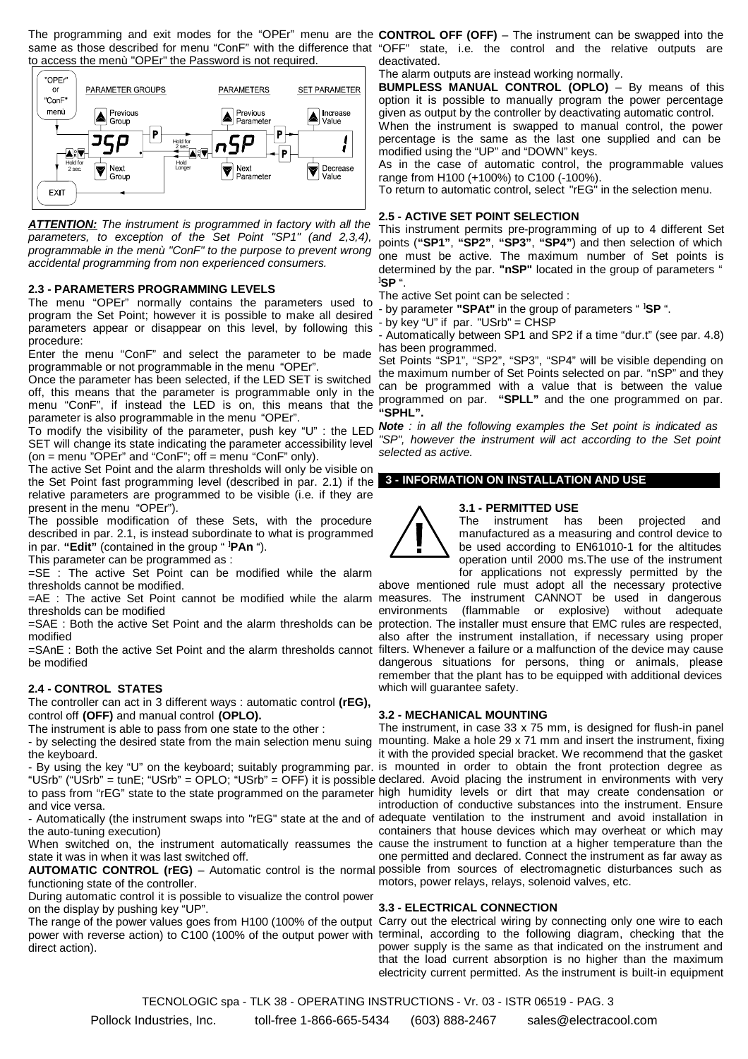The programming and exit modes for the "OPEr" menu are the same as those described for menu "ConF" with the difference that to access the menù "OPEr" the Password is not required.



*ATTENTION: The instrument is programmed in factory with all the parameters, to exception of the Set Point "SP1" (and 2,3,4), programmable in the menù "ConF" to the purpose to prevent wrong accidental programming from non experienced consumers.*

#### **2.3 - PARAMETERS PROGRAMMING LEVELS**

The menu "OPEr" normally contains the parameters used to program the Set Point; however it is possible to make all desired parameters appear or disappear on this level, by following this procedure:

Enter the menu "ConF" and select the parameter to be made programmable or not programmable in the menu "OPEr".

Once the parameter has been selected, if the LED SET is switched off, this means that the parameter is programmable only in the programmed on per "SDLL" and the one programmed on per menu "ConF", if instead the LED is on, this means that the programmed on par. **"SPLL"** and the one programmed on par. parameter is also programmable in the menu "OPEr".

SET will change its state indicating the parameter accessibility level (on  $=$  menu "OPEr" and "ConF"; off  $=$  menu "ConF" only).

The active Set Point and the alarm thresholds will only be visible on the Set Point fast programming level (described in par. 2.1) if the **3 - INFORMATION ON INSTALLATION AND USE** relative parameters are programmed to be visible (i.e. if they are present in the menu "OPEr").

The possible modification of these Sets, with the procedure described in par. 2.1, is instead subordinate to what is programmed in par. **"Edit"** (contained in the group " **] PAn** ").

This parameter can be programmed as :

=SE : The active Set Point can be modified while the alarm thresholds cannot be modified.

=AE : The active Set Point cannot be modified while the alarm measures. The instrument CANNOT be used in dangerous thresholds can be modified

=SAE : Both the active Set Point and the alarm thresholds can be protection. The installer must ensure that EMC rules are respected, modified

=SAnE : Both the active Set Point and the alarm thresholds cannot filters. Whenever a failure or a malfunction of the device may cause be modified

#### **2.4 - CONTROL STATES**

The controller can act in 3 different ways : automatic control **(rEG),** control off **(OFF)** and manual control **(OPLO).**

The instrument is able to pass from one state to the other :

- by selecting the desired state from the main selection menu suing the keyboard.

"USrb" ("USrb" = tunE; "USrb" = OPLO; "USrb" = OFF) it is possible declared. Avoid placing the instrument in environments with very to pass from "rEG" state to the state programmed on the parameter high humidity levels or dirt that may create condensation or and vice versa.

the auto-tuning execution)

state it was in when it was last switched off.

functioning state of the controller.

During automatic control it is possible to visualize the control power on the display by pushing key "UP".

The range of the power values goes from H100 (100% of the output Carry out the electrical wiring by connecting only one wire to each power with reverse action) to C100 (100% of the output power with terminal, according to the following diagram, checking that the direct action).

**CONTROL OFF (OFF)** – The instrument can be swapped into the "OFF" state, i.e. the control and the relative outputs are deactivated.

The alarm outputs are instead working normally.

**BUMPLESS MANUAL CONTROL (OPLO)** – By means of this option it is possible to manually program the power percentage given as output by the controller by deactivating automatic control.

When the instrument is swapped to manual control, the power percentage is the same as the last one supplied and can be modified using the "UP" and "DOWN" keys.

As in the case of automatic control, the programmable values range from H100 (+100%) to C100 (-100%).

To return to automatic control, select "rEG" in the selection menu.

#### **2.5 - ACTIVE SET POINT SELECTION**

This instrument permits pre-programming of up to 4 different Set points (**"SP1"**, **"SP2"**, **"SP3"**, **"SP4"**) and then selection of which one must be active. The maximum number of Set points is determined by the par. **"nSP"** located in the group of parameters " **] SP** ".

The active Set point can be selected :

- by parameter **"SPAt"** in the group of parameters " **] SP** ".

- by key "U" if par. "USrb" = CHSP

- Automatically between SP1 and SP2 if a time "dur.t" (see par. 4.8) has been programmed.

Set Points "SP1", "SP2", "SP3", "SP4" will be visible depending on the maximum number of Set Points selected on par. "nSP" and they **"SPHL".**

To modify the visibility of the parameter, push key "U" : the LED *Note : in all the following examples the Set point is indicated as "SP", however the instrument will act according to the Set point selected as active.*

#### **3.1 - PERMITTED USE**



The instrument has been projected and manufactured as a measuring and control device to be used according to EN61010-1 for the altitudes operation until 2000 ms.The use of the instrument for applications not expressly permitted by the

above mentioned rule must adopt all the necessary protective environments (flammable or explosive) without adequate also after the instrument installation, if necessary using proper dangerous situations for persons, thing or animals, please remember that the plant has to be equipped with additional devices which will guarantee safety.

#### **3.2 - MECHANICAL MOUNTING**

- By using the key "U" on the keyboard; suitably programming par. is mounted in order to obtain the front protection degree as - Automatically (the instrument swaps into "rEG" state at the and of adequate ventilation to the instrument and avoid installation in When switched on, the instrument automatically reassumes the cause the instrument to function at a higher temperature than the **AUTOMATIC CONTROL (rEG)** – Automatic control is the normal possible from sources of electromagnetic disturbances such as The instrument, in case 33 x 75 mm, is designed for flush-in panel mounting. Make a hole 29 x 71 mm and insert the instrument, fixing it with the provided special bracket. We recommend that the gasket introduction of conductive substances into the instrument. Ensure containers that house devices which may overheat or which may one permitted and declared. Connect the instrument as far away as motors, power relays, relays, solenoid valves, etc.

#### **3.3 - ELECTRICAL CONNECTION**

power supply is the same as that indicated on the instrument and that the load current absorption is no higher than the maximum electricity current permitted. As the instrument is built-in equipment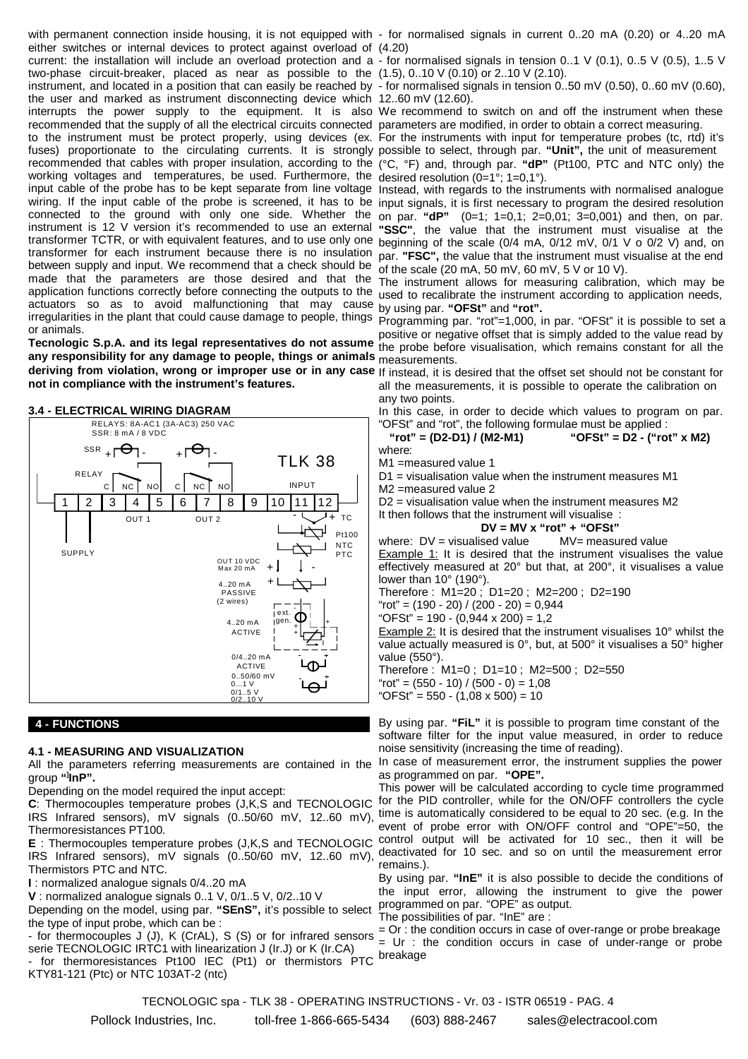either switches or internal devices to protect against overload of (4.20) current: the installation will include an overload protection and a - for normalised signals in tension 0..1 V (0.1), 0..5 V (0.5), 1..5 V two-phase circuit-breaker, placed as near as possible to the (1.5), 0..10 V (0.10) or 2..10 V (2.10). instrument, and located in a position that can easily be reached by - for normalised signals in tension 0..50 mV (0.50), 0..60 mV (0.60), the user and marked as instrument disconnecting device which 12..60 mV (12.60). interrupts the power supply to the equipment. It is also We recommend to switch on and off the instrument when these recommended that the supply of all the electrical circuits connected parameters are modified, in order to obtain a correct measuring. to the instrument must be protect properly, using devices (ex. For the instruments with input for temperature probes (tc, rtd) it's fuses) proportionate to the circulating currents. It is strongly possible to select, through par. "Unit", the unit of measurement recommended that cables with proper insulation, according to the (°C, °F) and, through par. **"dP"** (Pt100, PTC and NTC only) the working voltages and temperatures, be used. Furthermore, the desired resolution (0=1°; 1=0,1°). input cable of the probe has to be kept separate from line voltage Instead, with regards to the instruments with normalised analogue wiring. If the input cable of the probe is screened, it has to be input signals, it is first necessary to program the desired resolution connected to the ground with only one side. Whether the on par. **"dP"** (0=1; 1=0,1; 2=0,01; 3=0,001) and then, on par. instrument is 12 V version it's recommended to use an external **"SSC"**, the value that the instrument must visualise at the transformer TCTR, or with equivalent features, and to use only one beginning of the scale (0/4 mA, 0/12 mV, 0/1 V o 0/2 V) and, on transformer for each instrument because there is no insulation par. **"FSC",** the value that the instrument must visualise at the end between supply and input. We recommend that a check should be made that the parameters are those desired and that the The instrument allows for measuring calibration, which may be application functions correctly before connecting the outputs to the used to recalibrate the instrument according to application needs, actuators so as to avoid malfunctioning that may cause by using par. **"OFSt"** and **"rot".** irregularities in the plant that could cause damage to people, things Programming par. "rot"=1,000, in par. "OFSt" it is possible to set a or animals.

**any responsibility for any damage to people, things or animals** measurements. **deriving from violation, wrong or improper use or in any case** If instead, it is desired that the offset set should not be constant for **not in compliance with the instrument's features.**



#### **3.4 - ELECTRICAL WIRING DIAGRAM**

#### **4 - FUNCTIONS**

#### **4.1 - MEASURING AND VISUALIZATION**

group **"] InP".**

Depending on the model required the input accept:

IRS Infrared sensors), mV signals (0..50/60 mV, 12..60 mV), time is automatically considered to be equal to 20 sec. (e.g. In the Thermoresistances PT100.

**E** : Thermocouples temperature probes (J,K,S and TECNOLOGIC IRS Infrared sensors), mV signals (0..50/60 mV, 12..60 mV), Thermistors PTC and NTC.

**I** : normalized analogue signals 0/4..20 mA

**V** : normalized analogue signals 0..1 V, 0/1..5 V, 0/2..10 V

Depending on the model, using par. **"SEnS",** it's possible to select the type of input probe, which can be :

- for thermocouples J (J), K (CrAL), S (S) or for infrared sensors serie TECNOLOGIC IRTC1 with linearization J (Ir.J) or K (Ir.CA) - for thermoresistances Pt100 IEC (Pt1) or thermistors PTC KTY81-121 (Ptc) or NTC 103AT-2 (ntc)

with permanent connection inside housing, it is not equipped with - for normalised signals in current 0..20 mA (0.20) or 4..20 mA

of the scale (20 mA, 50 mV, 60 mV, 5 V or 10 V).

**Tecnologic S.p.A. and its legal representatives do not assume** the probe before visualisation, which remains constant for all the positive or negative offset that is simply added to the value read by

all the measurements, it is possible to operate the calibration on any two points.

In this case, in order to decide which values to program on par. "OFSt" and "rot", the following formulae must be applied :

**"rot" = (D2-D1) / (M2-M1) "OFSt" = D2 - ("rot" x M2)** where:

M1 =measured value 1

D1 = visualisation value when the instrument measures M1

M2 =measured value 2

D2 = visualisation value when the instrument measures M2

It then follows that the instrument will visualise :

**DV = MV x "rot" + "OFSt"**

where:  $DV =$  visualised value  $MV =$  measured value Example 1: It is desired that the instrument visualises the value effectively measured at 20° but that, at 200°, it visualises a value lower than 10° (190°).

Therefore : M1=20 ; D1=20 ; M2=200 ; D2=190

"rot" =  $(190 - 20) / (200 - 20) = 0.944$ 

 $"OFSt" = 190 - (0.944 \times 200) = 1.2$ 

Example 2: It is desired that the instrument visualises 10° whilst the value actually measured is 0°, but, at 500° it visualises a 50° higher value (550°).

Therefore : M1=0 ; D1=10 ; M2=500 ; D2=550

"rot" =  $(550 - 10) / (500 - 0) = 1,08$  $"OFSt" = 550 - (1,08 \times 500) = 10$ 

By using par. **"FiL"** it is possible to program time constant of the software filter for the input value measured, in order to reduce noise sensitivity (increasing the time of reading).

All the parameters referring measurements are contained in the <sup>In case of measurement error, the instrument supplies the power</sup> as programmed on par. **"OPE".**

**C**: Thermocouples temperature probes (J,K,S and TECNOLOGIC for the PID controller, while for the ON/OFF controllers the cycle This power will be calculated according to cycle time programmed event of probe error with ON/OFF control and "OPE"=50, the control output will be activated for 10 sec., then it will be deactivated for 10 sec. and so on until the measurement error remains.).

By using par. **"InE"** it is also possible to decide the conditions of the input error, allowing the instrument to give the power programmed on par. "OPE" as output.

The possibilities of par. "InE" are :

 $=$  Or : the condition occurs in case of over-range or probe breakage = Ur : the condition occurs in case of under-range or probe breakage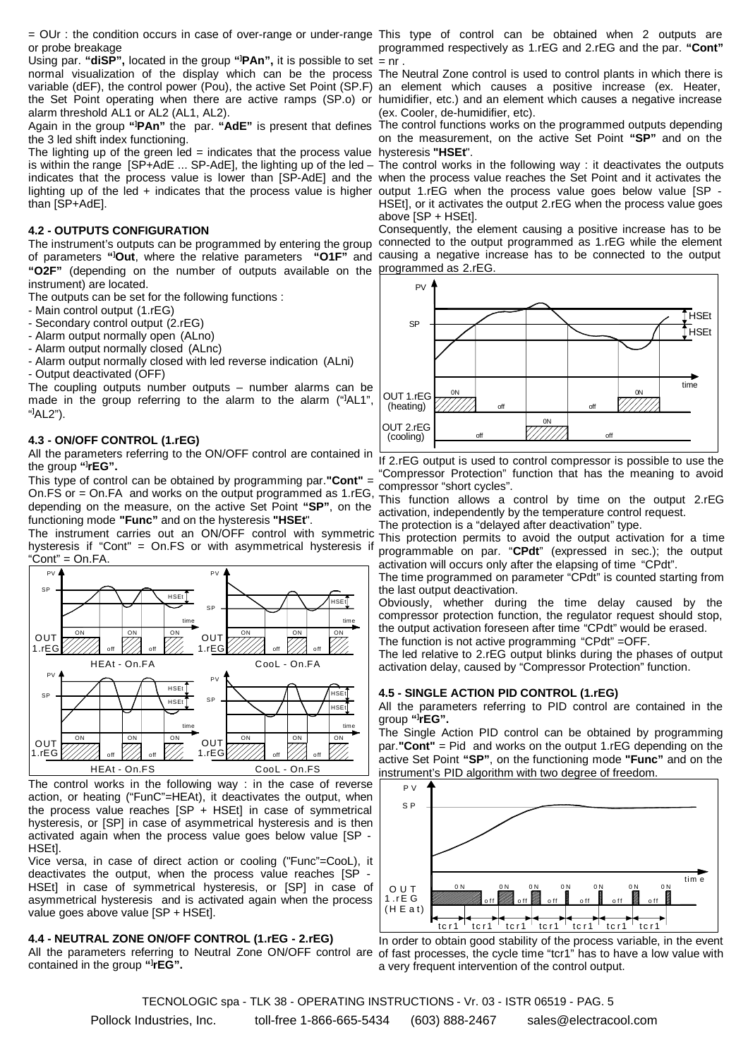= OUr : the condition occurs in case of over-range or under-range This type of control can be obtained when 2 outputs are or probe breakage

Using par. "diSP", located in the group "<sup>1</sup>PAn", it is possible to set = nr. normal visualization of the display which can be the process The Neutral Zone control is used to control plants in which there is variable (dEF), the control power (Pou), the active Set Point (SP.F) an element which causes a positive increase (ex. Heater, the Set Point operating when there are active ramps (SP.o) or humidifier, etc.) and an element which causes a negative increase alarm threshold AL1 or AL2 (AL1, AL2).

Again in the group **"] PAn"** the par. **"AdE"** is present that defines the 3 led shift index functioning.

The lighting up of the green led = indicates that the process value hysteresis **"HSEt**". is within the range  $[SP+AdE \dots SP-AdE]$ , the lighting up of the led – indicates that the process value is lower than [SP-AdE] and the when the process value reaches the Set Point and it activates the lighting up of the led + indicates that the process value is higher output 1.rEG when the process value goes below value [SP than [SP+AdE].

#### **4.2 - OUTPUTS CONFIGURATION**

of parameters **"] Out**, where the relative parameters **"O1F"** and causing a negative increase has to be connected to the output **"O2F"** (depending on the number of outputs available on the programmed as 2.rEG. instrument) are located.

The outputs can be set for the following functions :

- Main control output (1.rEG)

- Secondary control output (2.rEG)

- Alarm output normally open (ALno)

- Alarm output normally closed (ALnc)

- Alarm output normally closed with led reverse indication (ALni) - Output deactivated (OFF)

The coupling outputs number outputs – number alarms can be made in the group referring to the alarm to the alarm ("**]** AL1", " **]** AL2").

#### **4.3 - ON/OFF CONTROL (1.rEG)**

All the parameters referring to the ON/OFF control are contained in the group **"] rEG".**

This type of control can be obtained by programming par.**"Cont"** = On.FS or = On.FA and works on the output programmed as 1.rEG, depending on the measure, on the active Set Point **"SP"**, on the functioning mode **"Func"** and on the hysteresis **"HSEt**".

The instrument carries out an ON/OFF control with symmetric hysteresis if "Cont" = On.FS or with asymmetrical hysteresis if  $"Cont" = On.FA.$ 



The control works in the following way : in the case of reverse action, or heating ("FunC"=HEAt), it deactivates the output, when the process value reaches [SP + HSEt] in case of symmetrical hysteresis, or [SP] in case of asymmetrical hysteresis and is then activated again when the process value goes below value [SP - HSEt].

Vice versa, in case of direct action or cooling ("Func"=CooL), it deactivates the output, when the process value reaches [SP HSEt] in case of symmetrical hysteresis, or [SP] in case of asymmetrical hysteresis and is activated again when the process value goes above value [SP + HSEt].

#### **4.4 - NEUTRAL ZONE ON/OFF CONTROL (1.rEG - 2.rEG)**

All the parameters referring to Neutral Zone ON/OFF control are of fast processes, the cycle time "tcr1" has to have a low value with contained in the group **"] rEG".**

programmed respectively as 1.rEG and 2.rEG and the par. **"Cont"**

(ex. Cooler, de-humidifier, etc).

The control functions works on the programmed outputs depending on the measurement, on the active Set Point **"SP"** and on the

The control works in the following way : it deactivates the outputs HSEt], or it activates the output 2.rEG when the process value goes above [SP + HSEt].

The instrument's outputs can be programmed by entering the group connected to the output programmed as 1.rEG while the element Consequently, the element causing a positive increase has to be



If 2.rEG output is used to control compressor is possible to use the "Compressor Protection" function that has the meaning to avoid compressor "short cycles".

This function allows a control by time on the output 2.rEG activation, independently by the temperature control request. The protection is a "delayed after deactivation" type.

This protection permits to avoid the output activation for a time programmable on par. "**CPdt**" (expressed in sec.); the output activation will occurs only after the elapsing of time "CPdt".

The time programmed on parameter "CPdt" is counted starting from the last output deactivation.

Obviously, whether during the time delay caused by the compressor protection function, the regulator request should stop, the output activation foreseen after time "CPdt" would be erased.

The function is not active programming "CPdt" =OFF.

The led relative to 2.rEG output blinks during the phases of output activation delay, caused by "Compressor Protection" function.

#### **4.5 - SINGLE ACTION PID CONTROL (1.rEG)**

All the parameters referring to PID control are contained in the group **"] rEG".**

The Single Action PID control can be obtained by programming par.**"Cont"** = Pid and works on the output 1.rEG depending on the active Set Point **"SP"**, on the functioning mode **"Func"** and on the instrument's PID algorithm with two degree of freedom.



In order to obtain good stability of the process variable, in the event a very frequent intervention of the control output.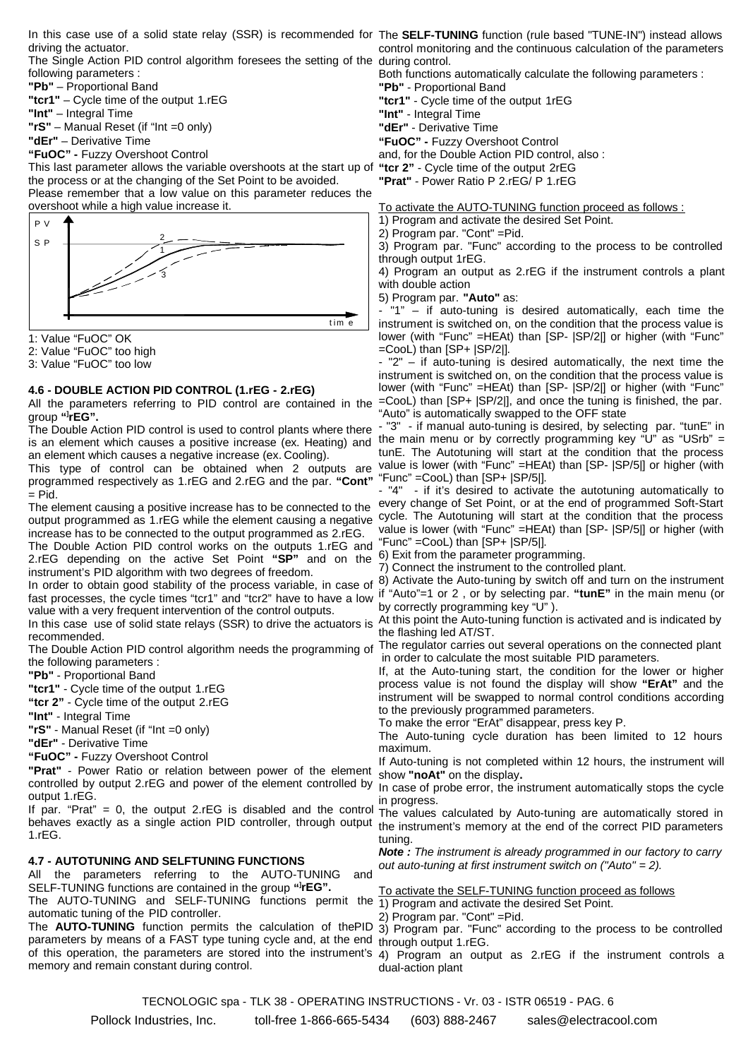driving the actuator.

The Single Action PID control algorithm foresees the setting of the during control. following parameters :

**"Pb"** – Proportional Band

**"tcr1"** – Cycle time of the output 1.rEG

**"Int"** – Integral Time

**"rS"** – Manual Reset (if "Int =0 only)

**"dEr"** – Derivative Time

**"FuOC" -** Fuzzy Overshoot Control

This last parameter allows the variable overshoots at the start up of the process or at the changing of the Set Point to be avoided.

Please remember that a low value on this parameter reduces the overshoot while a high value increase it.



1: Value "FuOC" OK

2: Value "FuOC" too high

3: Value "FuOC" too low

#### **4.6 - DOUBLE ACTION PID CONTROL (1.rEG - 2.rEG)**

All the parameters referring to PID control are contained in the group **"] rEG".**

The Double Action PID control is used to control plants where there is an element which causes a positive increase (ex. Heating) and the main menu or by correctly programming key "U" as "USrb" = an element which causes a negative increase (ex. Cooling).

This type of control can be obtained when 2 outputs are programmed respectively as 1.rEG and 2.rEG and the par. **"Cont"**  $=$  Pid.

The element causing a positive increase has to be connected to the output programmed as 1.rEG while the element causing a negative cycle. The Autotuning will start at the condition that the process increase has to be connected to the output programmed as 2.rEG. The Double Action PID control works on the outputs 1.rEG and "Func" =CooL) than [SP+ |SP/5|]. 2.rEG depending on the active Set Point **"SP"** and on the 6) Exit from the parameter programming. instrument's PID algorithm with two degrees of freedom.

fast processes, the cycle times "tcr1" and "tcr2" have to have a low if "Auto"=1 or 2 , or by selecting par. **"tunE"** in the main menu (or value with a very frequent intervention of the control outputs.

In this case use of solid state relays (SSR) to drive the actuators is recommended.

the following parameters :

**"Pb"** - Proportional Band

**"tcr1"** - Cycle time of the output 1.rEG

**"tcr 2"** - Cycle time of the output 2.rEG

**"Int"** - Integral Time

**"rS"** - Manual Reset (if "Int =0 only)

**"dEr"** - Derivative Time

**"FuOC" -** Fuzzy Overshoot Control

**"Prat"** - Power Ratio or relation between power of the element controlled by output 2.rEG and power of the element controlled by output 1.rEG.

If par. "Prat" = 0, the output 2.rEG is disabled and the control behaves exactly as a single action PID controller, through output 1.rEG.

#### **4.7 - AUTOTUNING AND SELFTUNING FUNCTIONS**

All the parameters referring to the AUTO-TUNING and SELF-TUNING functions are contained in the group **"] rEG".** SELF-TUNING functions are contained in the group "**rEG".**<br>The AUTO-TUNING and SELF-TUNING functions permit the 1) Program and activate the desired Set Point. automatic tuning of the PID controller.

The **AUTO-TUNING** function permits the calculation of thePID 3) Program par. "Func" according to the process to be controlled parameters by means of a FAST type tuning cycle and, at the end through output 1.rEG. of this operation, the parameters are stored into the instrument's 4) Program an output as 2.rEG if the instrument controls a memory and remain constant during control.

In this case use of a solid state relay (SSR) is recommended for The **SELF-TUNING** function (rule based "TUNE-IN") instead allows control monitoring and the continuous calculation of the parameters

Both functions automatically calculate the following parameters :

**"Pb"** - Proportional Band

**"tcr1"** - Cycle time of the output 1rEG

**"Int"** - Integral Time

**"dEr"** - Derivative Time

**"FuOC" -** Fuzzy Overshoot Control

and, for the Double Action PID control, also : **"tcr 2"** - Cycle time of the output 2rEG

**"Prat"** - Power Ratio P 2.rEG/ P 1.rEG

To activate the AUTO-TUNING function proceed as follows :

1) Program and activate the desired Set Point.

2) Program par. "Cont" =Pid.

3) Program par. "Func" according to the process to be controlled through output 1rEG.

4) Program an output as 2.rEG if the instrument controls a plant with double action

5) Program par. **"Auto"** as:

 $1" -$  if auto-tuning is desired automatically, each time the instrument is switched on, on the condition that the process value is lower (with "Func" =HEAt) than [SP- |SP/2|] or higher (with "Func" =CooL) than [SP+ |SP/2|].

- "2" – if auto-tuning is desired automatically, the next time the instrument is switched on, on the condition that the process value is lower (with "Func" =HEAt) than [SP- |SP/2|] or higher (with "Func" =CooL) than [SP+ |SP/2|], and once the tuning is finished, the par. "Auto" is automatically swapped to the OFF state

- "3" - if manual auto-tuning is desired, by selecting par. "tunE" in tunE. The Autotuning will start at the condition that the process value is lower (with "Func" =HEAt) than [SP- |SP/5|] or higher (with "Func" =CooL) than [SP+ |SP/5|].

- "4" - if it's desired to activate the autotuning automatically to every change of Set Point, or at the end of programmed Soft-Start value is lower (with "Func" =HEAt) than [SP- |SP/5|] or higher (with

7) Connect the instrument to the controlled plant.

In order to obtain good stability of the process variable, in case of 8) Activate the Auto-tuning by switch off and turn on the instrument by correctly programming key "U" ).

At this point the Auto-tuning function is activated and is indicated by the flashing led AT/ST.

The Double Action PID control algorithm needs the programming of The regulator carries out several operations on the connected plant in order to calculate the most suitable PID parameters.

If, at the Auto-tuning start, the condition for the lower or higher process value is not found the display will show **"ErAt"** and the instrument will be swapped to normal control conditions according to the previously programmed parameters.

To make the error "ErAt" disappear, press key P.

The Auto-tuning cycle duration has been limited to 12 hours maximum.

If Auto-tuning is not completed within 12 hours, the instrument will show **"noAt"** on the display**.**

In case of probe error, the instrument automatically stops the cycle in progress.

The values calculated by Auto-tuning are automatically stored in the instrument's memory at the end of the correct PID parameters tuning.

*Note : The instrument is already programmed in our factory to carry out auto-tuning at first instrument switch on ("Auto" = 2).*

| To activate the SELF-TUNING function proceed as follows |  |  |  |  |
|---------------------------------------------------------|--|--|--|--|
|                                                         |  |  |  |  |

1) Program and activate the desired Set Point.

2) Program par. "Cont" =Pid.

dual-action plant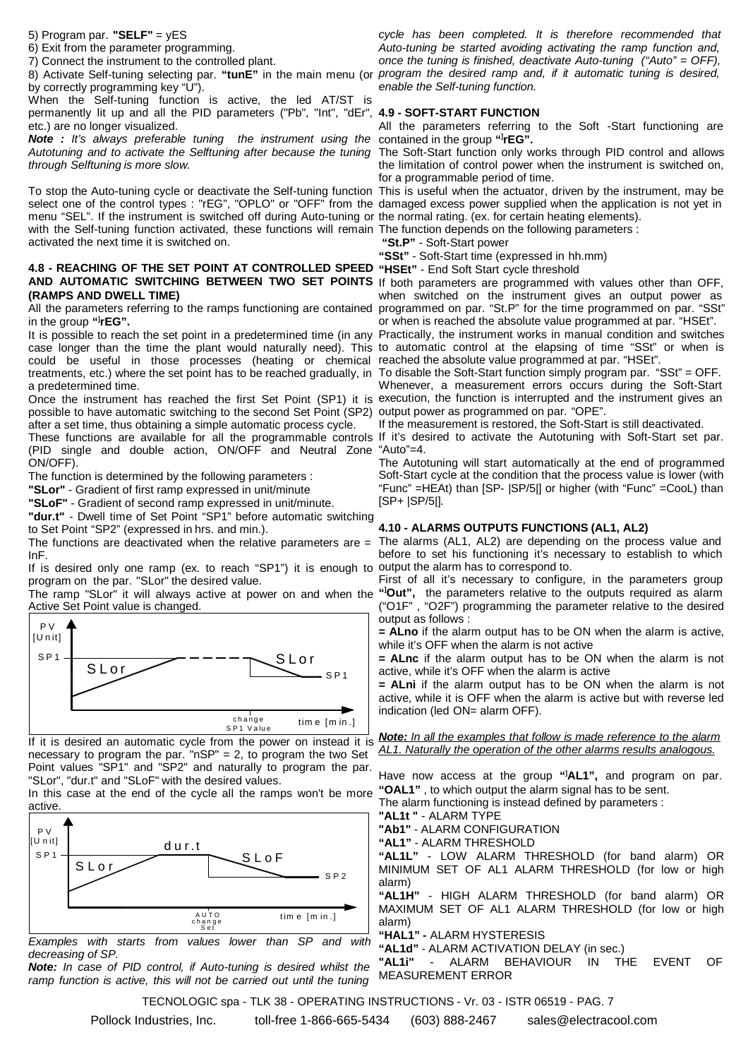5) Program par. **"SELF"** = yES

6) Exit from the parameter programming.

7) Connect the instrument to the controlled plant.

by correctly programming key "U").

When the Self-tuning function is active, the led AT/ST is permanently lit up and all the PID parameters ("Pb", "Int", "dEr", **4.9 - SOFT-START FUNCTION** etc.) are no longer visualized.

*Note : It's always preferable tuning the instrument using the* contained in the group **"] rEG".** Autotuning and to activate the Selftuning after because the tuning The Soft-Start function only works through PID control and allows *through Selftuning is more slow.*

To stop the Auto-tuning cycle or deactivate the Self-tuning function select one of the control types : "rEG", "OPLO" or "OFF" from the menu "SEL". If the instrument is switched off during Auto-tuning or the normal rating. (ex. for certain heating elements). with the Self-tuning function activated, these functions will remain The function depends on the following parameters : activated the next time it is switched on.

#### **4.8 - REACHING OF THE SET POINT AT CONTROLLED SPEED "HSEt"** - End Soft Start cycle threshold **AND AUTOMATIC SWITCHING BETWEEN TWO SET POINTS** If both parameters are programmed with values other than OFF, **(RAMPS AND DWELL TIME)**

in the group **"] rEG".**

It is possible to reach the set point in a predetermined time (in any Practically, the instrument works in manual condition and switches case longer than the time the plant would naturally need). This to automatic control at the elapsing of time "SSt" or when is could be useful in those processes (heating or chemical reached-the-absolute-value-programmed-at-par. "HSEt". treatments, etc.) where the set point has to be reached gradually, in To disable the Soft-Start function simply program par. "SSt" = OFF. a predetermined time.

Once the instrument has reached the first Set Point (SP1) it is execution, the function is interrupted and the instrument gives an possible to have automatic switching to the second Set Point (SP2) output power as programmed on par. "OPE". after a set time, thus obtaining a simple automatic process cycle.

These functions are available for all the programmable controls If it's desired to activate the Autotuning with Soft-Start set par. (PID single and double action, ON/OFF and Neutral Zone "Auto"=4. ON/OFF).

The function is determined by the following parameters :

**"SLor"** - Gradient of first ramp expressed in unit/minute

**"SLoF"** - Gradient of second ramp expressed in unit/minute.

**"dur.t"** - Dwell time of Set Point "SP1" before automatic switching to Set Point "SP2" (expressed in hrs. and min.).

The functions are deactivated when the relative parameters are  $=$ InF.

If is desired only one ramp (ex. to reach "SP1") it is enough to output the alarm has to correspond to. program on the par. "SLor" the desired value.

The ramp "SLor" it will always active at power on and when the Active Set Point value is changed.



If it is desired an automatic cycle from the power on instead it is necessary to program the par. "nSP" = 2, to program the two Set Point values "SP1" and "SP2" and naturally to program the par. "SLor", "dur.t" and "SLoF" with the desired values.

In this case at the end of the cycle all the ramps won't be more active.



*Examples with starts from values lower than SP and with decreasing of SP.*

*Note: In case of PID control, if Auto-tuning is desired whilst the ramp function is active, this will not be carried out until the tuning*

8) Activate Self-tuning selecting par. "tunE" in the main menu (or *program the desired ramp and, if it automatic tuning is desired, cycle has been completed. It is therefore recommended that Auto-tuning be started avoiding activating the ramp function and, once the tuning is finished, deactivate Auto-tuning ("Auto" = OFF), enable the Self-tuning function.*

All the parameters referring to the Soft -Start functioning are

the limitation of control power when the instrument is switched on, for a programmable period of time.

This is useful when the actuator, driven by the instrument, may be damaged excess power supplied when the application is not yet in

 **"St.P"** - Soft-Start power

**"SSt"** - Soft-Start time (expressed in hh.mm)

All the parameters referring to the ramps functioning are contained programmed on par. "St.P" for the time programmed on par. "SSt" when switched on the instrument gives an output power as or when is reached the absolute value programmed at par. "HSEt".

Whenever, a measurement errors occurs during the Soft-Start

If the measurement is restored, the Soft-Start is still deactivated.

The Autotuning will start automatically at the end of programmed Soft-Start cycle at the condition that the process value is lower (with "Func" =HEAt) than [SP- |SP/5|] or higher (with "Func" =CooL) than [SP+ |SP/5|].

#### **4.10 - ALARMS OUTPUTS FUNCTIONS (AL1, AL2)**

The alarms (AL1, AL2) are depending on the process value and before to set his functioning it's necessary to establish to which

First of all it's necessary to configure, in the parameters group **"] Out",** the parameters relative to the outputs required as alarm ("O1F" , "O2F") programming the parameter relative to the desired output as follows :

**= ALno** if the alarm output has to be ON when the alarm is active, while it's OFF when the alarm is not active

**= ALnc** if the alarm output has to be ON when the alarm is not active, while it's OFF when the alarm is active

**= ALni** if the alarm output has to be ON when the alarm is not active, while it is OFF when the alarm is active but with reverse led indication (led ON= alarm OFF).

*Note: In all the examples that follow is made reference to the alarm AL1. Naturally the operation of the other alarms results analogous.*

Have now access at the group **"] AL1",** and program on par. **"OAL1"** , to which output the alarm signal has to be sent.

The alarm functioning is instead defined by parameters :

**"AL1t "** - ALARM TYPE

**"Ab1"** - ALARM CONFIGURATION

**"AL1"** - ALARM THRESHOLD

**"AL1L"** - LOW ALARM THRESHOLD (for band alarm) OR MINIMUM SET OF AL1 ALARM THRESHOLD (for low or high alarm)

**"AL1H"** - HIGH ALARM THRESHOLD (for band alarm) OR MAXIMUM SET OF AL1 ALARM THRESHOLD (for low or high alarm)

**"HAL1" -** ALARM HYSTERESIS

**"AL1d"** - ALARM ACTIVATION DELAY (in sec.)

**"AL1i"** - ALARM BEHAVIOUR IN THE EVENT OF MEASUREMENT ERROR

TECNOLOGIC spa - TLK 38 - OPERATING INSTRUCTIONS - Vr. 03 - ISTR 06519 - PAG. 7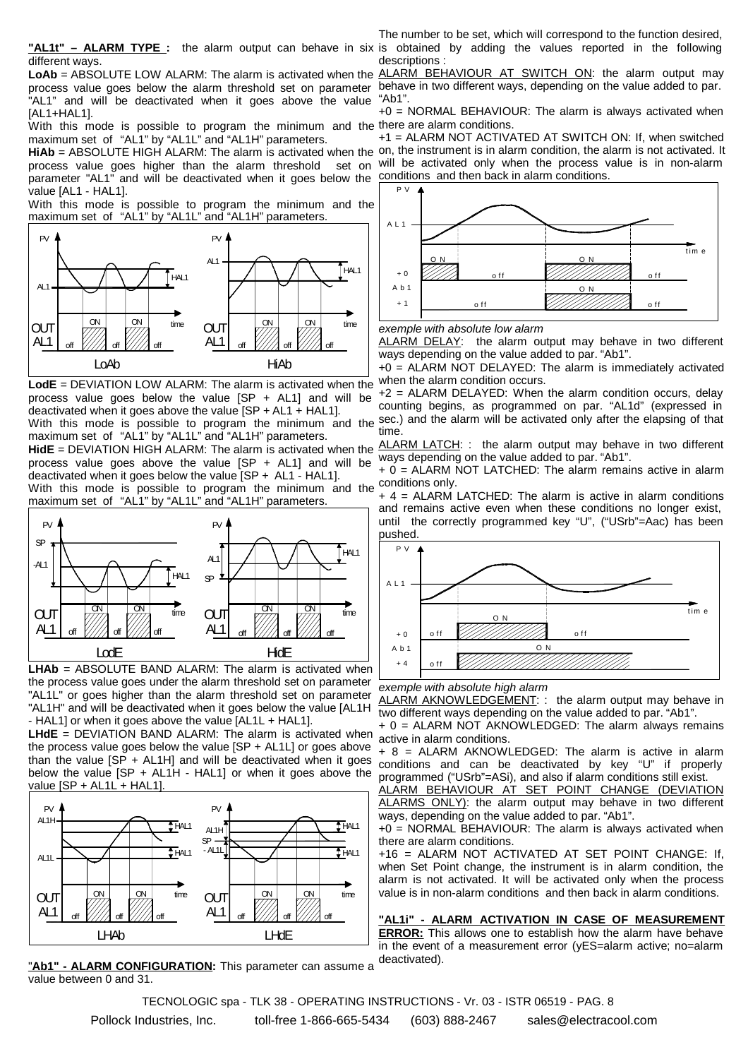different ways.

LoAb = ABSOLUTE LOW ALARM: The alarm is activated when the ALARM BEHAVIOUR AT SWITCH ON: the alarm output may process value goes below the alarm threshold set on parameter behave in two different ways, depending on the value added to par. "AL1" and will be deactivated when it goes above the value [AL1+HAL1].

With this mode is possible to program the minimum and the there are alarm conditions. maximum set of "AL1" by "AL1L" and "AL1H" parameters.

process value goes higher than the alarm threshold parameter "AL1" and will be deactivated when it goes below the value [AL1 - HAL1].

With this mode is possible to program the minimum and the maximum set of "AL1" by "AL1L" and "AL1H" parameters.



**LodE** = DEVIATION LOW ALARM: The alarm is activated when the process value goes below the value [SP + AL1] and will be deactivated when it goes above the value [SP + AL1 + HAL1].

With this mode is possible to program the minimum and the maximum set of "AL1" by "AL1L" and "AL1H" parameters.

process value goes above the value [SP + AL1] and will be deactivated when it goes below the value [SP + AL1 - HAL1].

With this mode is possible to program the minimum and the maximum set of "AL1" by "AL1L" and "AL1H" parameters.



**LHAb** = ABSOLUTE BAND ALARM: The alarm is activated when the process value goes under the alarm threshold set on parameter "AL1L" or goes higher than the alarm threshold set on parameter "AL1H" and will be deactivated when it goes below the value [AL1H - HAL1] or when it goes above the value [AL1L + HAL1].

**LHdE** = DEVIATION BAND ALARM: The alarm is activated when the process value goes below the value [SP + AL1L] or goes above than the value  $[SP + AL1H]$  and will be deactivated when it goes below the value [SP + AL1H - HAL1] or when it goes above the value [SP + AL1L + HAL1].



"Ab1" - ALARM CONFIGURATION: This parameter can assume a value between 0 and 31.

**"AL1t" – ALARM TYPE :** the alarm output can behave in six is obtained by adding the values reported in the following The number to be set, which will correspond to the function desired, descriptions :

"Ab1".

+0 = NORMAL BEHAVIOUR: The alarm is always activated when

HiAb = ABSOLUTE HIGH ALARM: The alarm is activated when the on, the instrument is in alarm condition, the alarm is not activated. It +1 = ALARM NOT ACTIVATED AT SWITCH ON: If, when switched set on will be activated only when the process value is in non-alarm conditions and then back in alarm conditions.



*exemple with absolute low alarm*

ALARM DELAY: the alarm output may behave in two different ways depending on the value added to par. "Ab1".

+0 = ALARM NOT DELAYED: The alarm is immediately activated when the alarm condition occurs.

+2 = ALARM DELAYED: When the alarm condition occurs, delay counting begins, as programmed on par. "AL1d" (expressed in sec.) and the alarm will be activated only after the elapsing of that time.

**HidE** = DEVIATION HIGH ALARM: The alarm is activated when the ALARM LATCH: : the alarm output may behave in two different ways depending on the value added to par. "Ab1".

> + 0 = ALARM NOT LATCHED: The alarm remains active in alarm conditions only.

> + 4 = ALARM LATCHED: The alarm is active in alarm conditions and remains active even when these conditions no longer exist, until the correctly programmed key "U", ("USrb"=Aac) has been pushed.



*exemple with absolute high alarm*

ALARM AKNOWLEDGEMENT: : the alarm output may behave in two different ways depending on the value added to par. "Ab1".

+ 0 = ALARM NOT AKNOWLEDGED: The alarm always remains active in alarm conditions.

+ 8 = ALARM AKNOWLEDGED: The alarm is active in alarm conditions and can be deactivated by key "U" if properly programmed ("USrb"=ASi), and also if alarm conditions still exist.

ALARM BEHAVIOUR AT SET POINT CHANGE (DEVIATION ALARMS ONLY): the alarm output may behave in two different ways, depending on the value added to par. "Ab1".

+0 = NORMAL BEHAVIOUR: The alarm is always activated when there are alarm conditions.

+16 = ALARM NOT ACTIVATED AT SET POINT CHANGE: If, when Set Point change, the instrument is in alarm condition, the alarm is not activated. It will be activated only when the process value is in non-alarm conditions and then back in alarm conditions.

**"AL1i" - ALARM ACTIVATION IN CASE OF MEASUREMENT ERROR:** This allows one to establish how the alarm have behave in the event of a measurement error (yES=alarm active; no=alarm deactivated).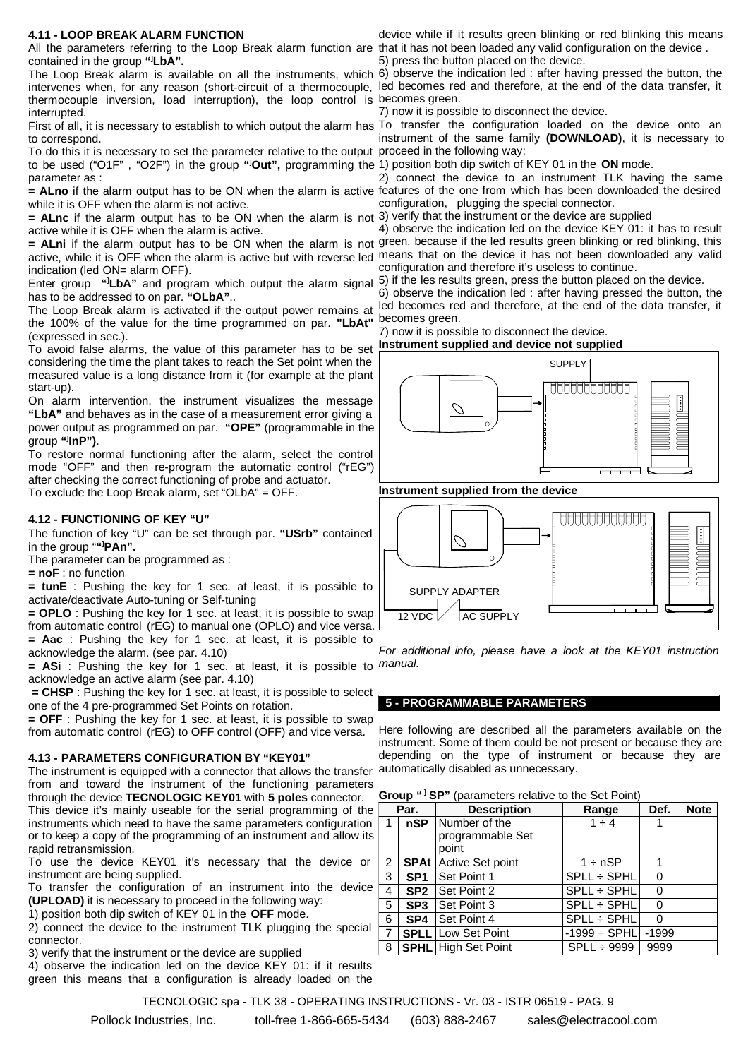#### **4.11 - LOOP BREAK ALARM FUNCTION**

All the parameters referring to the Loop Break alarm function are that it has not been loaded any valid configuration on the device. contained in the group **"] LbA".**

The Loop Break alarm is available on all the instruments, which 6) observe the indication led : after having pressed the button, the intervenes when, for any reason (short-circuit of a thermocouple, led becomes red and therefore, at the end of the data transfer, it thermocouple inversion, load interruption), the loop control is becomes green. interrupted.

First of all, it is necessary to establish to which output the alarm has To transfer the configuration loaded on the device onto an to correspond.

To do this it is necessary to set the parameter relative to the output proceed in the following way: to be used ("O1F" , "O2F") in the group **"] Out",** programming the 1) position both dip switch of KEY 01 in the **ON** mode. parameter as :

while it is OFF when the alarm is not active.

**= ALnc** if the alarm output has to be ON when the alarm is not 3) verify that the instrument or the device are supplied active while it is OFF when the alarm is active.

active, while it is OFF when the alarm is active but with reverse led means that on the device it has not been downloaded any valid indication (led ON= alarm OFF).

Enter group "ILbA" and program which output the alarm signal 5) if the les results green, press the button placed on the device. has to be addressed to on par. **"OLbA"**,.

the 100% of the value for the time programmed on par. **"LbAt"** (expressed in sec.).

To avoid false alarms, the value of this parameter has to be set considering the time the plant takes to reach the Set point when the measured value is a long distance from it (for example at the plant start-up).

On alarm intervention, the instrument visualizes the message **"LbA"** and behaves as in the case of a measurement error giving a power output as programmed on par. **"OPE"** (programmable in the group **"] InP")**.

To restore normal functioning after the alarm, select the control mode "OFF" and then re-program the automatic control ("rEG") after checking the correct functioning of probe and actuator.

To exclude the Loop Break alarm, set "OLbA" = OFF.

#### **4.12 - FUNCTIONING OF KEY "U"**

The function of key "U" can be set through par. **"USrb"** contained in the group "**"] PAn".**

The parameter can be programmed as :

**= noF** : no function

**= tunE** : Pushing the key for 1 sec. at least, it is possible to activate/deactivate Auto-tuning or Self-tuning

**= OPLO** : Pushing the key for 1 sec. at least, it is possible to swap from automatic control (rEG) to manual one (OPLO) and vice versa. **= Aac** : Pushing the key for 1 sec. at least, it is possible to

acknowledge the alarm. (see par. 4.10) **= ASi** : Pushing the key for 1 sec. at least, it is possible to *manual.*

acknowledge an active alarm (see par. 4.10) **= CHSP** : Pushing the key for 1 sec. at least, it is possible to select

one of the 4 pre-programmed Set Points on rotation.

**= OFF** : Pushing the key for 1 sec. at least, it is possible to swap from automatic control (rEG) to OFF control (OFF) and vice versa.

#### **4.13 - PARAMETERS CONFIGURATION BY "KEY01"**

The instrument is equipped with a connector that allows the transfer automatically disabled as unnecessary. from and toward the instrument of the functioning parameters through the device **TECNOLOGIC KEY01** with **5 poles** connector.

This device it's mainly useable for the serial programming of the instruments which need to have the same parameters configuration or to keep a copy of the programming of an instrument and allow its rapid retransmission.

To use the device KEY01 it's necessary that the device or instrument are being supplied.

To transfer the configuration of an instrument into the device **(UPLOAD)** it is necessary to proceed in the following way:

1) position both dip switch of KEY 01 in the **OFF** mode.

2) connect the device to the instrument TLK plugging the special connector.

3) verify that the instrument or the device are supplied

4) observe the indication led on the device KEY 01: if it results green this means that a configuration is already loaded on the

device while if it results green blinking or red blinking this means 5) press the button placed on the device.

7) now it is possible to disconnect the device.

instrument of the same family **(DOWNLOAD)**, it is necessary to

**= ALno** if the alarm output has to be ON when the alarm is active features of the one from which has been downloaded the desired 2) connect the device to an instrument TLK having the same configuration, plugging the special connector.

**= ALni** if the alarm output has to be ON when the alarm is not green, because if the led results green blinking or red blinking, this 4) observe the indication led on the device KEY 01: it has to result configuration and therefore it's useless to continue.

The Loop Break alarm is activated if the output power remains at led becomes red and therefore, at the end of the data transfer, it 6) observe the indication led : after having pressed the button, the becomes green.

7) now it is possible to disconnect the device.



#### **Instrument supplied from the device**



*For additional info, please have a look at the KEY01 instruction*

#### **5 - PROGRAMMABLE PARAMETERS**

Here following are described all the parameters available on the instrument. Some of them could be not present or because they are depending on the type of instrument or because they are

|  | Group " <sup>1</sup> SP" (parameters relative to the Set Point) |
|--|-----------------------------------------------------------------|
|--|-----------------------------------------------------------------|

| Par.           |                   | <b>Description</b>           |                   | Def.    | <b>Note</b> |
|----------------|-------------------|------------------------------|-------------------|---------|-------------|
| 1              | nSP Number of the |                              | $1 \div 4$        |         |             |
|                |                   | programmable Set             |                   |         |             |
|                |                   | point                        |                   |         |             |
| $\overline{2}$ |                   | <b>SPAt</b> Active Set point | $1 \div nSP$      |         |             |
| 3              | SP <sub>1</sub>   | Set Point 1                  | SPLL ÷ SPHL       | O       |             |
| 4              | SP <sub>2</sub>   | Set Point 2                  | SPLL ÷ SPHL       | O       |             |
| 5              | SP <sub>3</sub>   | <b>Set Point 3</b>           | SPLL ÷ SPHL       | O       |             |
| 6              | SP4               | <b>Set Point 4</b>           | SPLL ÷ SPHL       | O       |             |
| 7              | <b>SPLL</b>       | Low Set Point                | $-1999 \div$ SPHL | $-1999$ |             |
| 8              |                   | <b>SPHL</b> High Set Point   | $SPLL \div 9999$  | 9999    |             |

TECNOLOGIC spa - TLK 38 - OPERATING INSTRUCTIONS - Vr. 03 - ISTR 06519 - PAG. 9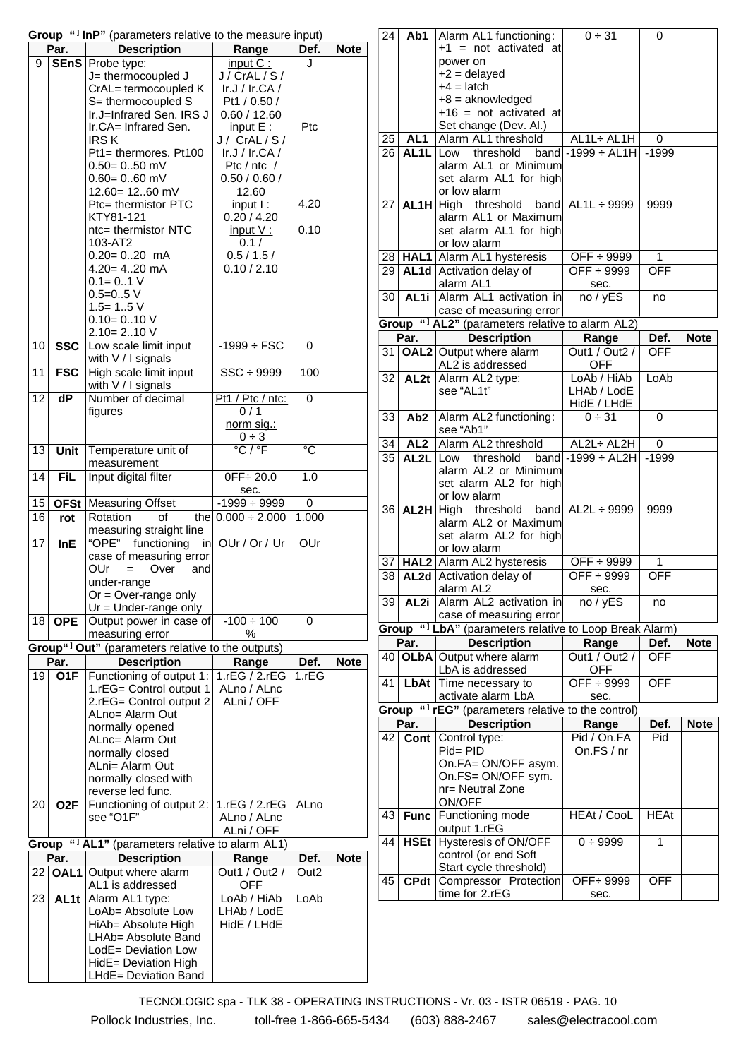|       | Par.                    | Group " <sup>1</sup> InP" (parameters relative to the measure input)<br><b>Description</b> | Range                       | Def.                       | <b>Note</b> |
|-------|-------------------------|--------------------------------------------------------------------------------------------|-----------------------------|----------------------------|-------------|
| 9     | <b>SEnS</b>             | Probe type:                                                                                | $input C$ :                 | J                          |             |
|       |                         | J= thermocoupled J                                                                         | J / CrAL / S /              |                            |             |
|       |                         |                                                                                            |                             |                            |             |
|       |                         | CrAL= termocoupled K                                                                       | Ir.J / $Ir.CA$ /            |                            |             |
|       |                         | S= thermocoupled S                                                                         | Pt1 / 0.50 /                |                            |             |
|       |                         | Ir.J=Infrared Sen. IRS J                                                                   | 0.60 / 12.60                |                            |             |
|       |                         | Ir.CA= Infrared Sen.                                                                       | input $E$ :                 | Ptc                        |             |
|       |                         | <b>IRSK</b>                                                                                | J/ CrAL/S/                  |                            |             |
|       |                         | Pt1= thermores. Pt100                                                                      | Ir.J / $Ir.CA$ /            |                            |             |
|       |                         | $0.50 = 0.50$ mV                                                                           | Ptc / $ntc$ /               |                            |             |
|       |                         | $0.60 = 0.60$ mV                                                                           | 0.50 / 0.60 /               |                            |             |
|       |                         | 12.60= 1260 mV                                                                             | 12.60                       |                            |             |
|       |                         | Ptc= thermistor PTC                                                                        | $input$ :                   | 4.20                       |             |
|       |                         | KTY81-121                                                                                  | 0.20 / 4.20                 |                            |             |
|       |                         | ntc= thermistor NTC                                                                        | input V:                    | 0.10                       |             |
|       |                         | 103-AT2                                                                                    | 0.1 /                       |                            |             |
|       |                         | $0.20 = 0.20$ mA                                                                           | 0.5 / 1.5 /                 |                            |             |
|       |                         | $4.20 = 4.20$ mA                                                                           | 0.10 / 2.10                 |                            |             |
|       |                         | $0.1 = 0.1 V$                                                                              |                             |                            |             |
|       |                         | $0.5 = 0.5$ V                                                                              |                             |                            |             |
|       |                         | $1.5 = 1.5$ V                                                                              |                             |                            |             |
|       |                         | $0.10 = 0.10 V$                                                                            |                             |                            |             |
|       |                         | $2.10 = 2.10 V$                                                                            |                             |                            |             |
| 10    | $\overline{\text{SSC}}$ | Low scale limit input                                                                      | $-1999 \div FSC$            | 0                          |             |
|       |                         | with V / I signals                                                                         |                             |                            |             |
| 11    | <b>FSC</b>              | High scale limit input                                                                     | $SSC \div 9999$             | 100                        |             |
|       |                         |                                                                                            |                             |                            |             |
|       |                         | with V / I signals                                                                         |                             |                            |             |
| 12    | dP                      | Number of decimal                                                                          | Pt1 / Ptc / ntc:            | 0                          |             |
|       |                         | figures                                                                                    | 0/1                         |                            |             |
|       |                         |                                                                                            | norm sig.:                  |                            |             |
|       |                         |                                                                                            | $0 \div 3$                  |                            |             |
| 13    | Unit                    | Temperature unit of                                                                        | $\overline{C}/\overline{C}$ | $\overline{\rm ^{\circ}C}$ |             |
|       |                         | measurement                                                                                |                             |                            |             |
| 14    | <b>FiL</b>              | Input digital filter                                                                       | $0FF - 20.0$                | 1.0                        |             |
|       |                         |                                                                                            | sec.                        |                            |             |
| 15    | <b>OFSt</b>             | <b>Measuring Offset</b>                                                                    | $-1999 \div 9999$           | 0                          |             |
| 16    | rot                     | Rotation<br>of<br>the                                                                      | $0.000 \div 2.000$          | 1.000                      |             |
|       |                         | measuring straight line                                                                    |                             |                            |             |
| 17    | <b>InE</b>              | "OPE" functioning<br>in                                                                    | OUr / Or / Ur               | OUr                        |             |
|       |                         | case of measuring error                                                                    |                             |                            |             |
|       |                         | OUr<br>Over<br>and<br>$=$                                                                  |                             |                            |             |
|       |                         | under-range                                                                                |                             |                            |             |
|       |                         | $Or = Over-range only$                                                                     |                             |                            |             |
|       |                         |                                                                                            |                             |                            |             |
|       |                         | Ur = Under-range only                                                                      |                             |                            |             |
| 18    | <b>OPE</b>              | Output power in case of                                                                    | $-100 \div 100$             | 0                          |             |
|       |                         | measuring error                                                                            | %                           |                            |             |
|       |                         | Group" <sup>1</sup> Out" (parameters relative to the outputs)                              |                             |                            |             |
|       | Par.                    | <b>Description</b>                                                                         | Range                       | Def.                       | <b>Note</b> |
| 19    | O <sub>1</sub> F        | Functioning of output 1:                                                                   | 1. $rEG / 2.rEG$            | 1.rEG                      |             |
|       |                         | 1.rEG= Control output 1                                                                    | ALno / ALnc                 |                            |             |
|       |                         | 2.rEG= Control output 2                                                                    | ALni / OFF                  |                            |             |
|       |                         | ALno= Alarm Out                                                                            |                             |                            |             |
|       |                         | normally opened                                                                            |                             |                            |             |
|       |                         | ALnc= Alarm Out                                                                            |                             |                            |             |
|       |                         | normally closed                                                                            |                             |                            |             |
|       |                         | ALni= Alarm Out                                                                            |                             |                            |             |
|       |                         | normally closed with                                                                       |                             |                            |             |
|       |                         | reverse led func.                                                                          |                             |                            |             |
| 20    | O2F                     | Functioning of output 2:                                                                   | 1. $rEG / 2.rEG$            | ALno                       |             |
|       |                         | see "O1F"                                                                                  | ALno / ALnc                 |                            |             |
|       |                         |                                                                                            | ALni / OFF                  |                            |             |
| Group |                         | " <sup>1</sup> AL1" (parameters relative to alarm AL1)                                     |                             |                            |             |
|       |                         |                                                                                            |                             |                            |             |
|       | Par.                    | <b>Description</b>                                                                         | Range                       | Def.                       | <b>Note</b> |
| 22    | OAL <sub>1</sub>        | Output where alarm                                                                         | Out1 / Out2 /               | Out <sub>2</sub>           |             |
|       |                         | AL1 is addressed                                                                           | <b>OFF</b>                  |                            |             |
| 23    | AL <sub>1t</sub>        | Alarm AL1 type:                                                                            | LoAb / HiAb                 | LoAb                       |             |
|       |                         | LoAb= Absolute Low                                                                         | LHAb / LodE                 |                            |             |
|       |                         | HiAb= Absolute High                                                                        | HidE / LHdE                 |                            |             |
|       |                         | LHAb= Absolute Band                                                                        |                             |                            |             |
|       |                         | LodE= Deviation Low                                                                        |                             |                            |             |
|       |                         | HidE= Deviation High                                                                       |                             |                            |             |
|       |                         | LHdE= Deviation Band                                                                       |                             |                            |             |
|       |                         |                                                                                            |                             |                            |             |

| 24    | Ab1                     | Alarm AL1 functioning:                                       | 0 ÷ 31                     | 0           |             |
|-------|-------------------------|--------------------------------------------------------------|----------------------------|-------------|-------------|
|       |                         | $+1$ = not activated at                                      |                            |             |             |
|       | power on                |                                                              |                            |             |             |
|       |                         | $+2$ = delayed                                               |                            |             |             |
|       |                         | $+4 =$ latch                                                 |                            |             |             |
|       |                         | $+8$ = aknowledged<br>$+16$ = not activated at               |                            |             |             |
|       |                         | Set change (Dev. Al.)                                        |                            |             |             |
| 25    | AL <sub>1</sub>         | Alarm AL1 threshold                                          | AL1L÷ AL1H                 | 0           |             |
| 26    | AL1L                    | threshold<br>band<br>Low                                     | $-1999 \div AL1H$          | $-1999$     |             |
|       |                         | alarm AL1 or Minimum                                         |                            |             |             |
|       |                         | set alarm AL1 for high                                       |                            |             |             |
|       |                         | or low alarm                                                 |                            |             |             |
| 27    | AL <sub>1</sub> H       | High threshold<br>band                                       | $AL1L \div 9999$           | 9999        |             |
|       |                         | alarm AL1 or Maximum                                         |                            |             |             |
|       |                         | set alarm AL1 for high<br>or low alarm                       |                            |             |             |
| 28    |                         | <b>HAL1</b> Alarm AL1 hysteresis                             | OFF ÷ 9999                 | 1           |             |
| 29    |                         | AL1d Activation delay of                                     | $OFF + 9999$               | <b>OFF</b>  |             |
|       |                         | alarm AL1                                                    | sec.                       |             |             |
| 30    | AL <sub>1i</sub>        | Alarm AL1 activation in                                      | no / yES                   | no          |             |
|       |                         | case of measuring error                                      |                            |             |             |
|       |                         | Group " <sup>1</sup> AL2" (parameters relative to alarm AL2) |                            |             |             |
|       | Par.                    | <b>Description</b>                                           | Range                      | Def.        | <b>Note</b> |
| 31    |                         | <b>OAL2</b> Output where alarm                               | Out1 / Out2 /              | <b>OFF</b>  |             |
|       |                         | AL2 is addressed                                             | <b>OFF</b>                 |             |             |
| 32    | AL <sub>2t</sub>        | Alarm AL2 type:                                              | LoAb / HiAb                | LoAb        |             |
|       |                         | see "AL1t"                                                   | LHAb / LodE                |             |             |
| 33    | Ab <sub>2</sub>         | Alarm AL2 functioning:                                       | HidE / LHdE<br>$0 \div 31$ | 0           |             |
|       |                         | see "Ab1"                                                    |                            |             |             |
| 34    | AL <sub>2</sub>         | Alarm AL2 threshold                                          | AL2L÷ AL2H                 | 0           |             |
| 35    | AL <sub>2</sub> L       | Low threshold<br>band                                        | $-1999 \div AL2H$          | $-1999$     |             |
|       |                         | alarm AL2 or Minimum                                         |                            |             |             |
|       |                         | set alarm AL2 for high                                       |                            |             |             |
|       |                         | or low alarm                                                 |                            |             |             |
| 36    |                         | AL2H High threshold<br>band                                  | $AL2L \div 9999$           | 9999        |             |
|       |                         | alarm AL2 or Maximum                                         |                            |             |             |
|       |                         | set alarm AL2 for high<br>or low alarm                       |                            |             |             |
| 37    |                         | HAL2 Alarm AL2 hysteresis                                    | OFF ÷ 9999                 | 1           |             |
| 38    | AL <sub>2d</sub>        | Activation delay of                                          | OFF ÷ 9999                 | <b>OFF</b>  |             |
|       |                         | alarm AL2                                                    | sec.                       |             |             |
| 39    | AL <sub>2i</sub>        | Alarm AL2 activation in                                      | no / yES                   | no          |             |
|       | case of measuring error |                                                              |                            |             |             |
| Group | "11                     | bA" (parameters relative to Loop Break Alarm)                |                            |             |             |
|       | Par.                    | <b>Description</b>                                           | Range                      | Def.        | <b>Note</b> |
| 40    | <b>OLbA</b>             | Output where alarm                                           | Out1 / Out2 /              | OFF         |             |
|       | LbAt                    | LbA is addressed                                             | <b>OFF</b><br>OFF ÷ 9999   |             |             |
| 41    |                         | Time necessary to<br>activate alarm LbA                      | sec.                       | <b>OFF</b>  |             |
| Group |                         | " <sup>1</sup> rEG" (parameters relative to the control)     |                            |             |             |
|       | Par.                    | <b>Description</b>                                           | Range                      | Def.        | <b>Note</b> |
| 42    | Cont                    | Control type:                                                | Pid / On.FA                | Pid         |             |
|       |                         | Pid= PID                                                     | On.FS / nr                 |             |             |
|       |                         | On.FA= ON/OFF asym.                                          |                            |             |             |
|       |                         | On.FS= ON/OFF sym.                                           |                            |             |             |
|       |                         | nr= Neutral Zone<br>ON/OFF                                   |                            |             |             |
| 43    | <b>Func</b>             | Functioning mode                                             | <b>HEAt / CooL</b>         | <b>HEAt</b> |             |
|       |                         | output 1.rEG                                                 |                            |             |             |
| 44    | <b>HSEt</b>             | Hysteresis of ON/OFF                                         | $0 \div 9999$              | 1           |             |
|       |                         | control (or end Soft                                         |                            |             |             |
|       |                         | Start cycle threshold)                                       |                            |             |             |
| 45    | <b>CPdt</b>             | Compressor Protection                                        | OFF÷ 9999                  | OFF         |             |
|       |                         | time for 2.rEG                                               | sec.                       |             |             |
|       |                         |                                                              |                            |             |             |

TECNOLOGIC spa - TLK 38 - OPERATING INSTRUCTIONS - Vr. 03 - ISTR 06519 - PAG. 10 Pollock Industries, Inc. toll-free 1-866-665-5434 (603) 888-2467 sales@electracool.com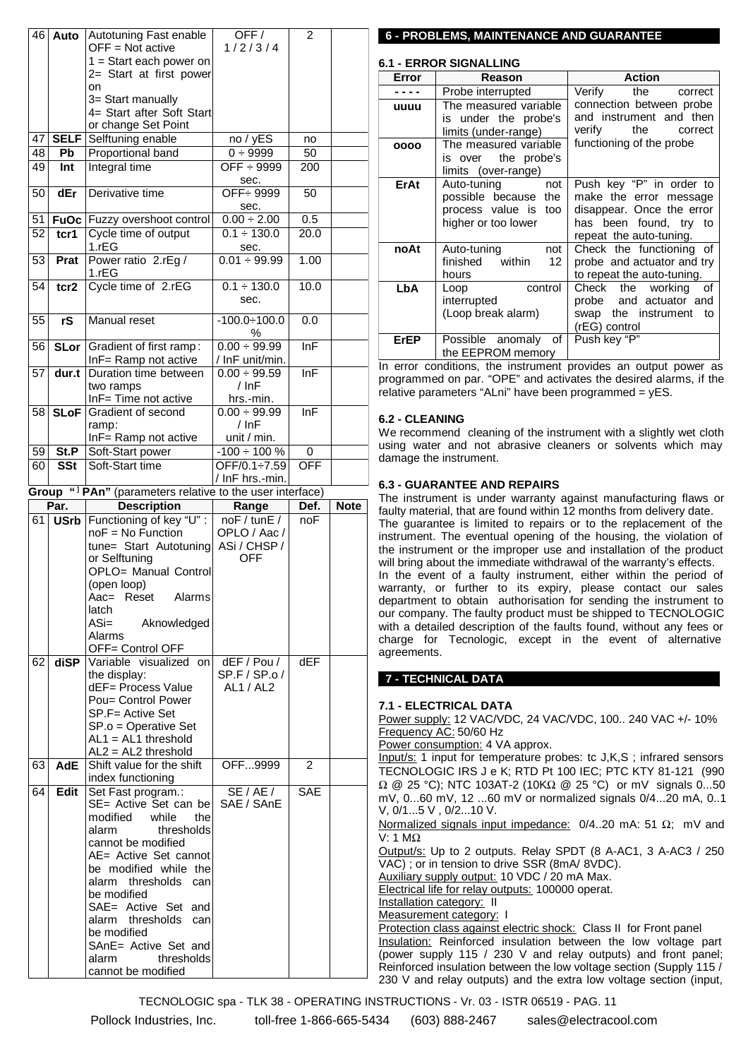| 46       | Auto                    | Autotuning Fast enable<br>OFF = Not active                      | OFF/<br>1/2/3/4              | $\overline{2}$ |                                                                       |
|----------|-------------------------|-----------------------------------------------------------------|------------------------------|----------------|-----------------------------------------------------------------------|
|          |                         | $1 =$ Start each power on<br>2= Start at first power            |                              |                |                                                                       |
|          |                         | on                                                              |                              |                |                                                                       |
|          |                         | 3= Start manually<br>4= Start after Soft Start                  |                              |                |                                                                       |
| 47       | <b>SELF</b>             | or change Set Point<br>Selftuning enable                        | no / yES                     | no             |                                                                       |
| 48       | Pb                      | Proportional band                                               | 0 ÷ 9999                     | 50             |                                                                       |
| 49       | <b>Int</b>              | Integral time                                                   | OFF $\div$ 9999              | 200            |                                                                       |
|          |                         |                                                                 | sec.                         |                |                                                                       |
| 50       | dEr                     | Derivative time                                                 | OFF ÷ 9999                   | 50             |                                                                       |
|          |                         |                                                                 | sec.<br>$0.00 \div 2.00$     | 0.5            |                                                                       |
| 51<br>52 | tcr1                    | <b>FuOc</b> Fuzzy overshoot control<br>Cycle time of output     | $0.1 \div 130.0$             | 20.0           |                                                                       |
|          |                         | 1.rEG                                                           | sec.                         |                |                                                                       |
| 53       | Prat                    | Power ratio 2.rEg /<br>1.rEG                                    | $0.01 \div 99.99$            | 1.00           |                                                                       |
| 54       | tcr2                    | Cycle time of 2.rEG                                             | $0.1 \div 130.0$             | 10.0           |                                                                       |
|          |                         |                                                                 | sec.                         |                |                                                                       |
| 55       | rS                      | <b>Manual reset</b>                                             | $-100.0 \div 100.0$<br>%     | 0.0            |                                                                       |
| 56       | <b>SLor</b>             | Gradient of first ramp:                                         | $0.00 \div 99.99$            | InF            |                                                                       |
|          |                         | InF= Ramp not active                                            | / InF unit/min.              |                |                                                                       |
| 57       | dur.t                   | Duration time between<br>two ramps                              | $0.00 \div 99.59$<br>$/$ InF | lnF            | F                                                                     |
|          |                         | InF= Time not active                                            | hrs.-min.                    |                |                                                                       |
| 58       | <b>SLoF</b>             | Gradient of second                                              | $0.00 \div 99.99$            | InF            |                                                                       |
|          |                         | ramp:                                                           | $/$ InF                      |                |                                                                       |
|          |                         | InF= Ramp not active                                            | unit / min.                  |                |                                                                       |
| 59       | St.P                    | Soft-Start power                                                | $-100 \div 100 \%$           | 0              |                                                                       |
| 60       | $\overline{\text{SSt}}$ | Soft-Start time                                                 | OFF/0.1÷7.59                 | OFF            |                                                                       |
| Group    |                         | " <sup>1</sup> PAn" (parameters relative to the user interface) | / InF hrs.-min.              |                |                                                                       |
|          | Par.                    | <b>Description</b>                                              | Range                        | Def.           | <b>Note</b>                                                           |
|          |                         |                                                                 |                              |                |                                                                       |
| 61 I     |                         |                                                                 | noF / tunE /                 | noF            | f                                                                     |
|          |                         | USrb Functioning of key "U" :<br>$noF = No Function$            | OPLO / Aac /                 |                |                                                                       |
|          |                         | tune= Start Autotuning                                          | ASi / CHSP /                 |                | ÌI<br>t                                                               |
|          |                         | or Selftuning                                                   | <b>OFF</b>                   |                |                                                                       |
|          |                         | OPLO= Manual Control                                            |                              |                | I                                                                     |
|          |                         | (open loop)<br>Alarms<br>Aac= Reset                             |                              |                |                                                                       |
|          |                         | latch                                                           |                              |                | C                                                                     |
|          |                         | $ASi=$<br>Aknowledged                                           |                              |                | V                                                                     |
|          |                         | Alarms                                                          |                              |                | C                                                                     |
|          |                         | OFF= Control OFF                                                |                              |                |                                                                       |
| 62       | diSP                    | Variable visualized on                                          | dEF / Pou /<br>SP.F / SP.o / | <b>dEF</b>     |                                                                       |
|          |                         | the display:<br>dEF= Process Value                              | AL1 / AL2                    |                |                                                                       |
|          |                         | Pou= Control Power                                              |                              |                | 7                                                                     |
|          |                         | SP.F= Active Set                                                |                              |                |                                                                       |
|          |                         | SP.o = Operative Set                                            |                              |                |                                                                       |
|          |                         | $AL1 = AL1$ threshold<br>$AL2 = AL2$ threshold                  |                              |                |                                                                       |
| 63       | <b>AdE</b>              | Shift value for the shift                                       | OFF9999                      | $\overline{2}$ | $F_F$<br>$F_F$                                                        |
|          |                         | index functioning                                               |                              |                |                                                                       |
| 64       | Edit                    | Set Fast program.:                                              | SE/AE/                       | SAE            | $\overline{\mathbf{S}}$<br>$\mathsf{r}$                               |
|          |                         | SE= Active Set can be                                           | SAE / SAnE                   |                |                                                                       |
|          |                         | while<br>modified<br>the<br>thresholds<br>alarm                 |                              |                | ₫                                                                     |
|          |                         | cannot be modified                                              |                              |                |                                                                       |
|          |                         | AE= Active Set cannot                                           |                              |                | $\overline{\mathbf{C}}$                                               |
|          |                         | be modified while the                                           |                              |                |                                                                       |
|          |                         | alarm thresholds<br>can                                         |                              |                |                                                                       |
|          |                         | be modified                                                     |                              |                |                                                                       |
|          |                         | SAE= Active Set and<br>alarm thresholds<br>can                  |                              |                |                                                                       |
|          |                         | be modified                                                     |                              |                |                                                                       |
|          |                         | SAnE= Active Set and                                            |                              |                | $\frac{1}{2}$ $\frac{1}{2}$ $\frac{1}{2}$ $\frac{1}{2}$ $\frac{1}{2}$ |
|          |                         | thresholds<br>alarm<br>cannot be modified                       |                              |                |                                                                       |

#### **6 - PROBLEMS, MAINTENANCE AND GUARANTEE**

| <b>6.1 - ERROR SIGNALLING</b> |                                                                                           |                                                                                                                                      |  |  |  |
|-------------------------------|-------------------------------------------------------------------------------------------|--------------------------------------------------------------------------------------------------------------------------------------|--|--|--|
| Error                         | Reason                                                                                    | <b>Action</b>                                                                                                                        |  |  |  |
|                               | Probe interrupted                                                                         | Verify<br>the<br>correct                                                                                                             |  |  |  |
| uuuu                          | The measured variable<br>is under the probe's<br>limits (under-range)                     | connection between probe<br>and instrument and then<br>verify<br>the correct                                                         |  |  |  |
| 0000                          | The measured variable<br>is over the probe's<br>limits (over-range)                       | functioning of the probe                                                                                                             |  |  |  |
| ErAt                          | Auto-tuning<br>not<br>possible because the<br>process value is too<br>higher or too lower | Push key "P" in order to<br>make the error message<br>disappear. Once the error<br>has been found, try to<br>repeat the auto-tuning. |  |  |  |
| noAt                          | Auto-tuning<br>not<br>finished within<br>12<br>hours                                      | Check the functioning of<br>probe and actuator and try<br>to repeat the auto-tuning.                                                 |  |  |  |
| LbA                           | control<br>Loop<br>interrupted<br>(Loop break alarm)                                      | Check the working<br>$\sigma$<br>probe and actuator and<br>swap the instrument<br>to<br>(rEG) control                                |  |  |  |
| <b>ErEP</b>                   | Possible anomaly<br>of<br>the EEPROM memory                                               | Push key "P"                                                                                                                         |  |  |  |

In error conditions, the instrument provides an output power as programmed on par. "OPE" and activates the desired alarms, if the relative parameters "ALni" have been programmed = yES.

#### **6.2 - CLEANING**

We recommend cleaning of the instrument with a slightly wet cloth using water and not abrasive cleaners or solvents which may damage the instrument.

#### **6.3 - GUARANTEE AND REPAIRS**

The instrument is under warranty against manufacturing flaws or faulty material, that are found within 12 months from delivery date. The guarantee is limited to repairs or to the replacement of the instrument. The eventual opening of the housing, the violation of the instrument or the improper use and installation of the product will bring about the immediate withdrawal of the warranty's effects. In the event of a faulty instrument, either within the period of warranty, or further to its expiry, please contact our sales department to obtain authorisation for sending the instrument to our company. The faulty product must be shipped to TECNOLOGIC with a detailed description of the faults found, without any fees or charge for Tecnologic, except in the event of alternative agreements.

#### **7 - TECHNICAL DATA**

#### **7.1 - ELECTRICAL DATA**

Power supply: 12 VAC/VDC, 24 VAC/VDC, 100.. 240 VAC +/- 10% Frequency AC: 50/60 Hz Power consumption: 4 VA approx. Input/s: 1 input for temperature probes: tc J,K,S ; infrared sensors TECNOLOGIC IRS J e K; RTD Pt 100 IEC; PTC KTY 81-121 (990  $\Omega$  @ 25 °C); NTC 103AT-2 (10K $\Omega$  @ 25 °C) or mV signals 0...50

mV, 0...60 mV, 12 ...60 mV or normalized signals 0/4...20 mA, 0..1 V, 0/1...5 V , 0/2...10 V.

Normalized signals input impedance: 0/4..20 mA: 51 Ω; mV and V: 1 MΩ

Output/s: Up to 2 outputs. Relay SPDT (8 A-AC1, 3 A-AC3 / 250 VAC) ; or in tension to drive SSR (8mA/ 8VDC). Auxiliary supply output: 10 VDC / 20 mA Max.

Electrical life for relay outputs: 100000 operat.

Installation category: II

Measurement category: I

Protection class against electric shock: Class II for Front panel Insulation: Reinforced insulation between the low voltage part (power supply 115 / 230 V and relay outputs) and front panel; Reinforced insulation between the low voltage section (Supply 115 / 230 V and relay outputs) and the extra low voltage section (input,

TECNOLOGIC spa - TLK 38 - OPERATING INSTRUCTIONS - Vr. 03 - ISTR 06519 - PAG. 11